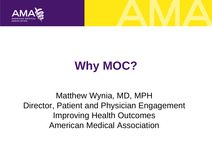

## **Why MOC?**

Matthew Wynia, MD, MPH Director, Patient and Physician Engagement Improving Health Outcomes American Medical Association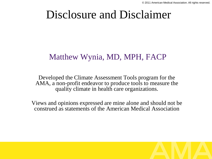#### Disclosure and Disclaimer

#### Matthew Wynia, MD, MPH, FACP

Developed the Climate Assessment Tools program for the AMA, a non-profit endeavor to produce tools to measure the quality climate in health care organizations.

Views and opinions expressed are mine alone and should not be construed as statements of the American Medical Association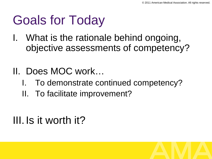# Goals for Today

I. What is the rationale behind ongoing, objective assessments of competency?

#### II. Does MOC work…

- To demonstrate continued competency?
- II. To facilitate improvement?

#### III. Is it worth it?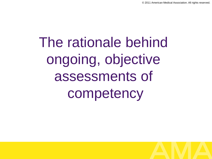The rationale behind ongoing, objective assessments of competency

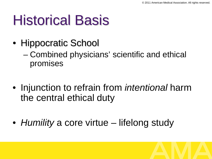# Historical Basis

- Hippocratic School
	- Combined physicians' scientific and ethical promises
- Injunction to refrain from *intentional* harm the central ethical duty
- *Humility* a core virtue lifelong study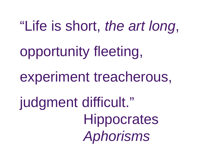"Life is short, *the art long*, opportunity fleeting, experiment treacherous, judgment difficult." **Hippocrates** 

*Aphorisms*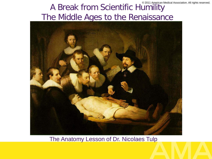#### © 2011 American Medical Association. All rights reserved. A Break from Scientific Humility The Middle Ages to the Renaissance



#### The Anatomy Lesson of Dr. Nicolaes Tulp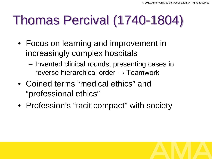### Thomas Percival (1740-1804)

- Focus on learning and improvement in increasingly complex hospitals
	- Invented clinical rounds, presenting cases in reverse hierarchical order  $\rightarrow$  Teamwork
- Coined terms "medical ethics" and "professional ethics"
- Profession's "tacit compact" with society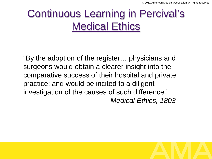#### Continuous Learning in Percival's Medical Ethics

"By the adoption of the register… physicians and surgeons would obtain a clearer insight into the comparative success of their hospital and private practice; and would be incited to a diligent investigation of the causes of such difference." -*Medical Ethics, 1803*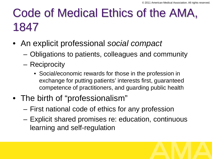#### Code of Medical Ethics of the AMA, 1847

- An explicit professional *social compact*
	- Obligations to patients, colleagues and community
	- Reciprocity
		- Social/economic rewards for those in the profession in exchange for putting patients' interests first, guaranteed competence of practitioners, and guarding public health
- The birth of "professionalism"
	- First national code of ethics for any profession
	- Explicit shared promises re: education, continuous learning and self-regulation

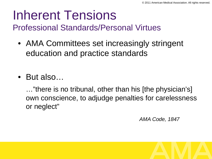#### Inherent Tensions

Professional Standards/Personal Virtues

- AMA Committees set increasingly stringent education and practice standards
- But also…

…"there is no tribunal, other than his [the physician's] own conscience, to adjudge penalties for carelessness or neglect"

*AMA Code, 1847*

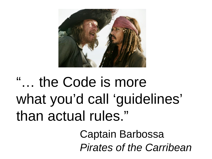

# "… the Code is more what you'd call 'guidelines' than actual rules."

Captain Barbossa *Pirates of the Carribean*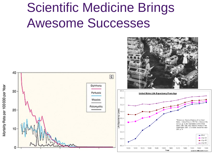### Scientific Medicine Brings Awesome Successes

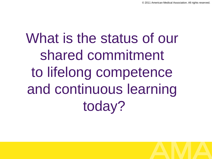# What is the status of our shared commitment to lifelong competence and continuous learning today?

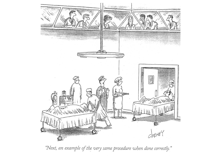

"Next, an example of the very same procedure when done correctly."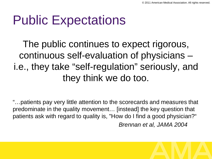### Public Expectations

The public continues to expect rigorous, continuous self-evaluation of physicians – i.e., they take "self-regulation" seriously, and they think we do too.

"…patients pay very little attention to the scorecards and measures that predominate in the quality movement… [instead] the key question that patients ask with regard to quality is, "How do I find a good physician?" *Brennan et al, JAMA 2004*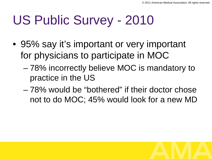# US Public Survey - 2010

- 95% say it's important or very important for physicians to participate in MOC
	- 78% incorrectly believe MOC is mandatory to practice in the US
	- 78% would be "bothered" if their doctor chose not to do MOC; 45% would look for a new MD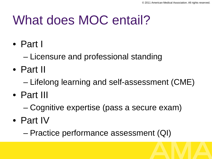## What does MOC entail?

- Part I
	- Licensure and professional standing
- Part II
	- Lifelong learning and self-assessment (CME)
- Part III
	- Cognitive expertise (pass a secure exam)
- Part IV
	- Practice performance assessment (QI)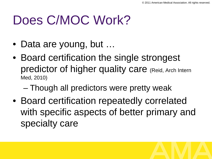### Does C/MOC Work?

- Data are young, but ...
- Board certification the single strongest predictor of higher quality care (Reid, Arch Intern Med, 2010)
	- Though all predictors were pretty weak
- Board certification repeatedly correlated with specific aspects of better primary and specialty care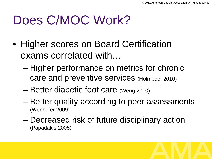### Does C/MOC Work?

- Higher scores on Board Certification exams correlated with…
	- Higher performance on metrics for chronic care and preventive services (Holmboe, 2010)
	- Better diabetic foot care (Weng 2010)
	- Better quality according to peer assessments (Wenhofer 2009)
	- Decreased risk of future disciplinary action (Papadakis 2008)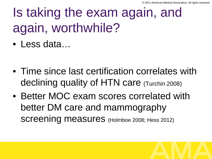# Is taking the exam again, and again, worthwhile?

• Less data…

- Time since last certification correlates with declining quality of HTN care (Turchin 2008)
- Better MOC exam scores correlated with better DM care and mammography SCreening measures (Holmboe 2008; Hess 2012)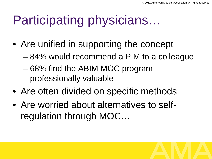# Participating physicians…

- Are unified in supporting the concept
	- 84% would recommend a PIM to a colleague
	- 68% find the ABIM MOC program professionally valuable
- Are often divided on specific methods
- Are worried about alternatives to selfregulation through MOC…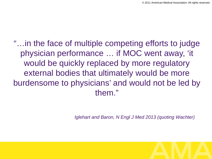"…in the face of multiple competing efforts to judge physician performance … if MOC went away, 'it would be quickly replaced by more regulatory external bodies that ultimately would be more burdensome to physicians' and would not be led by them."

*Iglehart and Baron, N Engl J Med 2013 (quoting Wachter)*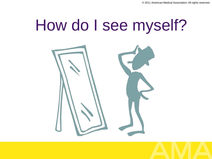# How do I see myself?

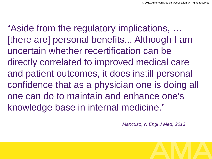"Aside from the regulatory implications, … [there are] personal benefits... Although I am uncertain whether recertification can be directly correlated to improved medical care and patient outcomes, it does instill personal confidence that as a physician one is doing all one can do to maintain and enhance one's knowledge base in internal medicine."

*Mancuso, N Engl J Med, 2013*